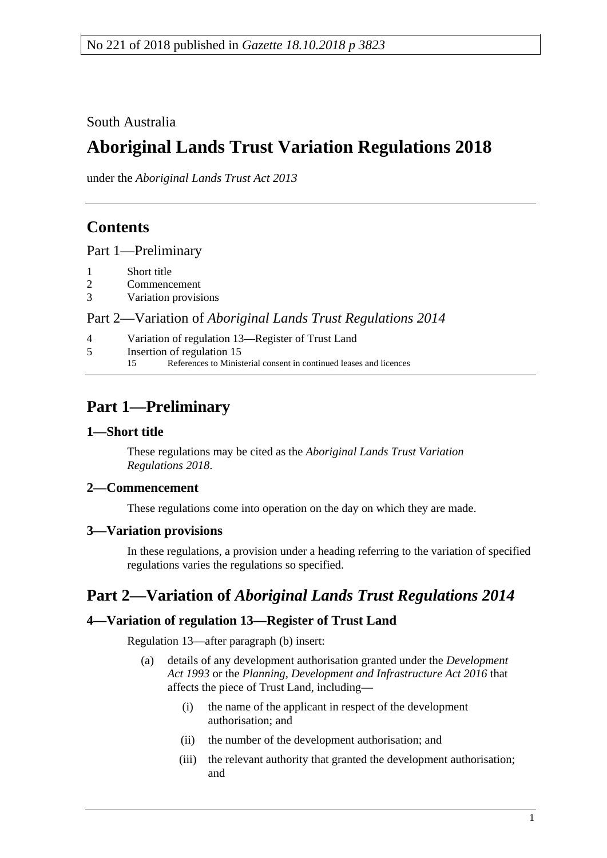South Australia

# **Aboriginal Lands Trust Variation Regulations 2018**

under the *Aboriginal Lands Trust Act 2013*

### **Contents**

Part [1—Preliminary](#page-0-0)

- 1 [Short title](#page-0-1)
- 2 [Commencement](#page-0-2)
- 3 [Variation provisions](#page-0-3)

Part 2—Variation of *[Aboriginal Lands Trust Regulations](#page-0-4) 2014*

- 4 [Variation of regulation 13—Register of Trust Land](#page-0-5)
- 5 [Insertion of regulation 15](#page-1-0)<br>15 References to Minist
	- References to Ministerial consent in continued leases and licences

## <span id="page-0-0"></span>**Part 1—Preliminary**

### <span id="page-0-1"></span>**1—Short title**

These regulations may be cited as the *Aboriginal Lands Trust Variation Regulations 2018*.

### <span id="page-0-2"></span>**2—Commencement**

These regulations come into operation on the day on which they are made.

### <span id="page-0-3"></span>**3—Variation provisions**

In these regulations, a provision under a heading referring to the variation of specified regulations varies the regulations so specified.

### <span id="page-0-4"></span>**Part 2—Variation of** *Aboriginal Lands Trust Regulations 2014*

### <span id="page-0-5"></span>**4—Variation of regulation 13—Register of Trust Land**

Regulation 13—after paragraph (b) insert:

- (a) details of any development authorisation granted under the *[Development](http://www.legislation.sa.gov.au/index.aspx?action=legref&type=act&legtitle=Development%20Act%201993)  Act [1993](http://www.legislation.sa.gov.au/index.aspx?action=legref&type=act&legtitle=Development%20Act%201993)* or the *[Planning, Development and Infrastructure Act 2016](http://www.legislation.sa.gov.au/index.aspx?action=legref&type=act&legtitle=Planning%20Development%20and%20Infrastructure%20Act%202016)* that affects the piece of Trust Land, including—
	- (i) the name of the applicant in respect of the development authorisation; and
	- (ii) the number of the development authorisation; and
	- (iii) the relevant authority that granted the development authorisation; and